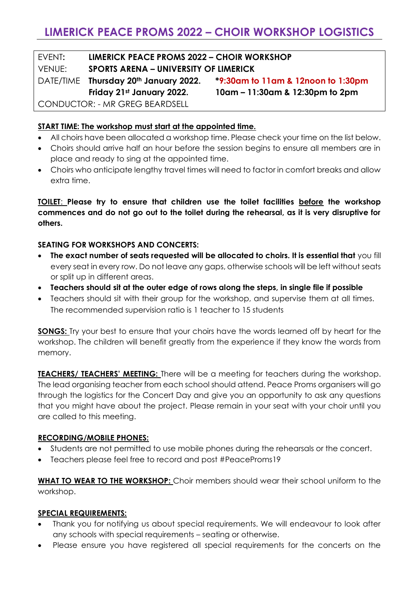EVENT**: LIMERICK PEACE PROMS 2022 – CHOIR WORKSHOP** VENUE: **SPORTS ARENA – UNIVERSITY OF LIMERICK** DATE/TIME **Thursday 20th January 2022. \*9:30am to 11am & 12noon to 1:30pm Friday 21st January 2022. 10am – 11:30am & 12:30pm to 2pm**

CONDUCTOR: - MR GREG BEARDSELL

# **START TIME: The workshop must start at the appointed time.**

- All choirs have been allocated a workshop time. Please check your time on the list below.
- Choirs should arrive half an hour before the session begins to ensure all members are in place and ready to sing at the appointed time.
- Choirs who anticipate lengthy travel times will need to factor in comfort breaks and allow extra time.

**TOILET**: **Please try to ensure that children use the toilet facilities before the workshop commences and do not go out to the toilet during the rehearsal, as it is very disruptive for others.** 

### **SEATING FOR WORKSHOPS AND CONCERTS:**

- **The exact number of seats requested will be allocated to choirs. It is essential that** you fill every seat in every row. Do not leave any gaps, otherwise schools will be left without seats or split up in different areas.
- **Teachers should sit at the outer edge of rows along the steps, in single file if possible**
- Teachers should sit with their group for the workshop, and supervise them at all times. The recommended supervision ratio is 1 teacher to 15 students

**SONGS:** Try your best to ensure that your choirs have the words learned off by heart for the workshop. The children will benefit greatly from the experience if they know the words from memory.

**TEACHERS/ TEACHERS' MEETING:** There will be a meeting for teachers during the workshop. The lead organising teacher from each school should attend. Peace Proms organisers will go through the logistics for the Concert Day and give you an opportunity to ask any questions that you might have about the project. Please remain in your seat with your choir until you are called to this meeting.

### **RECORDING/MOBILE PHONES:**

- Students are not permitted to use mobile phones during the rehearsals or the concert.
- Teachers please feel free to record and post #PeaceProms19

**WHAT TO WEAR TO THE WORKSHOP:** Choir members should wear their school uniform to the workshop.

#### **SPECIAL REQUIREMENTS:**

- Thank you for notifying us about special requirements. We will endeavour to look after any schools with special requirements – seating or otherwise.
- Please ensure you have registered all special requirements for the concerts on the